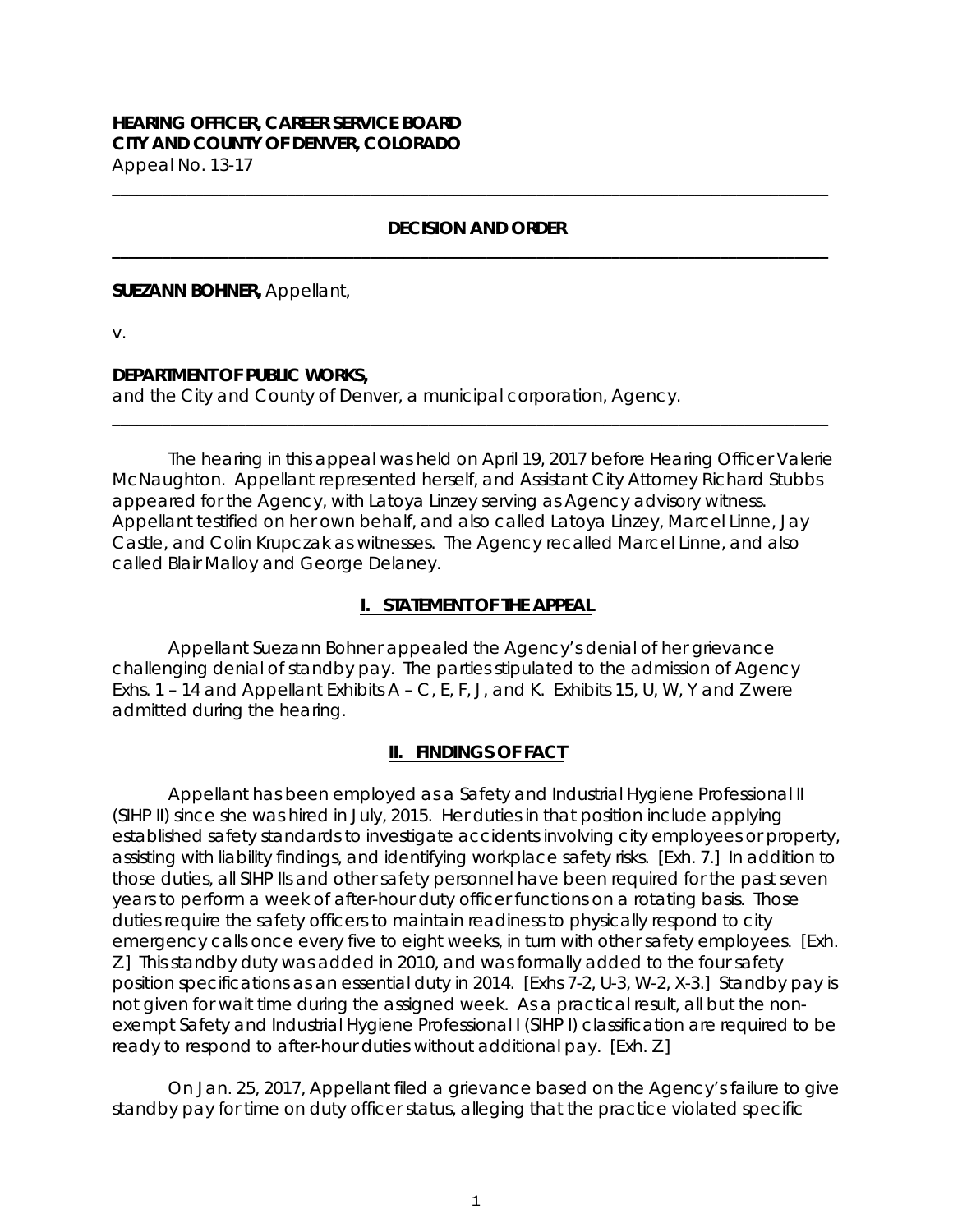## **HEARING OFFICER, CAREER SERVICE BOARD CITY AND COUNTY OF DENVER, COLORADO** Appeal No. 13-17

## **DECISION AND ORDER \_\_\_\_\_\_\_\_\_\_\_\_\_\_\_\_\_\_\_\_\_\_\_\_\_\_\_\_\_\_\_\_\_\_\_\_\_\_\_\_\_\_\_\_\_\_\_\_\_\_\_\_\_\_\_\_\_\_\_\_\_\_\_\_\_\_\_\_\_\_\_\_\_\_\_\_\_\_\_\_\_\_\_\_\_\_**

**\_\_\_\_\_\_\_\_\_\_\_\_\_\_\_\_\_\_\_\_\_\_\_\_\_\_\_\_\_\_\_\_\_\_\_\_\_\_\_\_\_\_\_\_\_\_\_\_\_\_\_\_\_\_\_\_\_\_\_\_\_\_\_\_\_\_\_\_\_\_\_\_\_\_\_\_\_\_\_\_\_\_\_\_\_\_**

#### **SUEZANN BOHNER,** Appellant,

v.

### **DEPARTMENT OF PUBLIC WORKS,**

and the City and County of Denver, a municipal corporation, Agency.

The hearing in this appeal was held on April 19, 2017 before Hearing Officer Valerie McNaughton. Appellant represented herself, and Assistant City Attorney Richard Stubbs appeared for the Agency, with Latoya Linzey serving as Agency advisory witness. Appellant testified on her own behalf, and also called Latoya Linzey, Marcel Linne, Jay Castle, and Colin Krupczak as witnesses. The Agency recalled Marcel Linne, and also called Blair Malloy and George Delaney.

**\_\_\_\_\_\_\_\_\_\_\_\_\_\_\_\_\_\_\_\_\_\_\_\_\_\_\_\_\_\_\_\_\_\_\_\_\_\_\_\_\_\_\_\_\_\_\_\_\_\_\_\_\_\_\_\_\_\_\_\_\_\_\_\_\_\_\_\_\_\_\_\_\_\_\_\_\_\_\_\_\_\_\_\_\_\_**

## **I. STATEMENT OF THE APPEAL**

Appellant Suezann Bohner appealed the Agency's denial of her grievance challenging denial of standby pay. The parties stipulated to the admission of Agency Exhs. 1 – 14 and Appellant Exhibits  $A - C$ , E, F, J, and K. Exhibits 15, U, W, Y and Z were admitted during the hearing.

# **II. FINDINGS OF FACT**

Appellant has been employed as a Safety and Industrial Hygiene Professional II (SIHP II) since she was hired in July, 2015. Her duties in that position include applying established safety standards to investigate accidents involving city employees or property, assisting with liability findings, and identifying workplace safety risks. [Exh. 7.] In addition to those duties, all SIHP IIs and other safety personnel have been required for the past seven years to perform a week of after-hour duty officer functions on a rotating basis. Those duties require the safety officers to maintain readiness to physically respond to city emergency calls once every five to eight weeks, in turn with other safety employees. [Exh. Z.] This standby duty was added in 2010, and was formally added to the four safety position specifications as an essential duty in 2014. [Exhs 7-2, U-3, W-2, X-3.] Standby pay is not given for wait time during the assigned week. As a practical result, all but the nonexempt Safety and Industrial Hygiene Professional I (SIHP I) classification are required to be ready to respond to after-hour duties without additional pay. [Exh. Z.]

On Jan. 25, 2017, Appellant filed a grievance based on the Agency's failure to give standby pay for time on duty officer status, alleging that the practice violated specific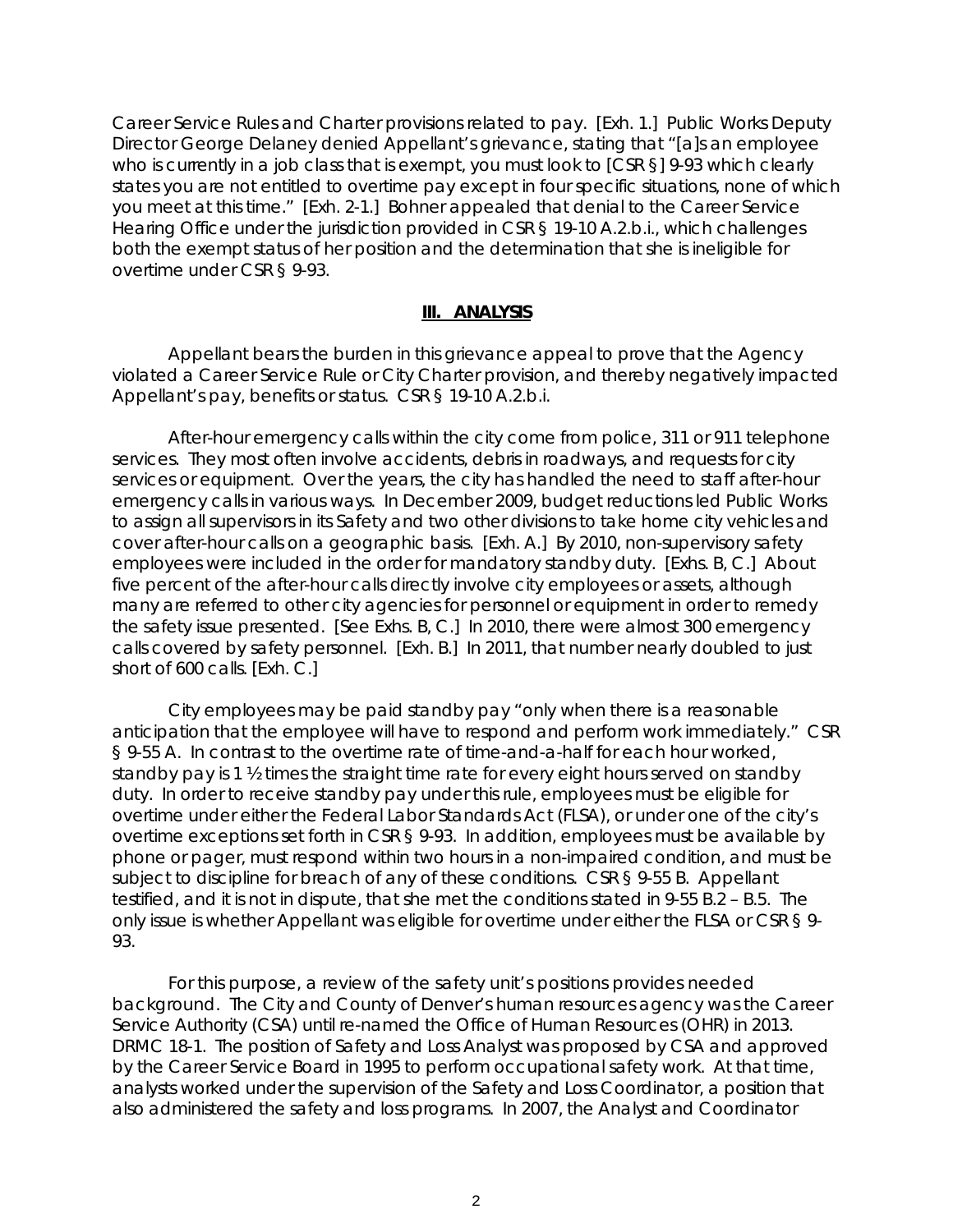Career Service Rules and Charter provisions related to pay. [Exh. 1.] Public Works Deputy Director George Delaney denied Appellant's grievance, stating that "[a]s an employee who is currently in a job class that is exempt, you must look to [CSR §] 9-93 which clearly states you are not entitled to overtime pay except in four specific situations, none of which you meet at this time." [Exh. 2-1.] Bohner appealed that denial to the Career Service Hearing Office under the jurisdiction provided in CSR § 19-10 A.2.b.i., which challenges both the exempt status of her position and the determination that she is ineligible for overtime under CSR § 9-93.

#### **III. ANALYSIS**

Appellant bears the burden in this grievance appeal to prove that the Agency violated a Career Service Rule or City Charter provision, and thereby negatively impacted Appellant's pay, benefits or status. CSR § 19-10 A.2.b.i.

After-hour emergency calls within the city come from police, 311 or 911 telephone services. They most often involve accidents, debris in roadways, and requests for city services or equipment. Over the years, the city has handled the need to staff after-hour emergency calls in various ways. In December 2009, budget reductions led Public Works to assign all supervisors in its Safety and two other divisions to take home city vehicles and cover after-hour calls on a geographic basis. [Exh. A.] By 2010, non-supervisory safety employees were included in the order for mandatory standby duty. [Exhs. B, C.] About five percent of the after-hour calls directly involve city employees or assets, although many are referred to other city agencies for personnel or equipment in order to remedy the safety issue presented. [See Exhs. B, C.] In 2010, there were almost 300 emergency calls covered by safety personnel. [Exh. B.] In 2011, that number nearly doubled to just short of 600 calls. [Exh. C.]

City employees may be paid standby pay "only when there is a reasonable anticipation that the employee will have to respond and perform work immediately." CSR § 9-55 A. In contrast to the overtime rate of time-and-a-half for each hour worked, standby pay is 1 ½ times the straight time rate for every eight hours served on standby duty. In order to receive standby pay under this rule, employees must be eligible for overtime under either the Federal Labor Standards Act (FLSA), or under one of the city's overtime exceptions set forth in CSR § 9-93. In addition, employees must be available by phone or pager, must respond within two hours in a non-impaired condition, and must be subject to discipline for breach of any of these conditions. CSR § 9-55 B. Appellant testified, and it is not in dispute, that she met the conditions stated in 9-55 B.2 – B.5. The only issue is whether Appellant was eligible for overtime under either the FLSA or CSR § 9- 93.

For this purpose, a review of the safety unit's positions provides needed background. The City and County of Denver's human resources agency was the Career Service Authority (CSA) until re-named the Office of Human Resources (OHR) in 2013. DRMC 18-1. The position of Safety and Loss Analyst was proposed by CSA and approved by the Career Service Board in 1995 to perform occupational safety work. At that time, analysts worked under the supervision of the Safety and Loss Coordinator, a position that also administered the safety and loss programs. In 2007, the Analyst and Coordinator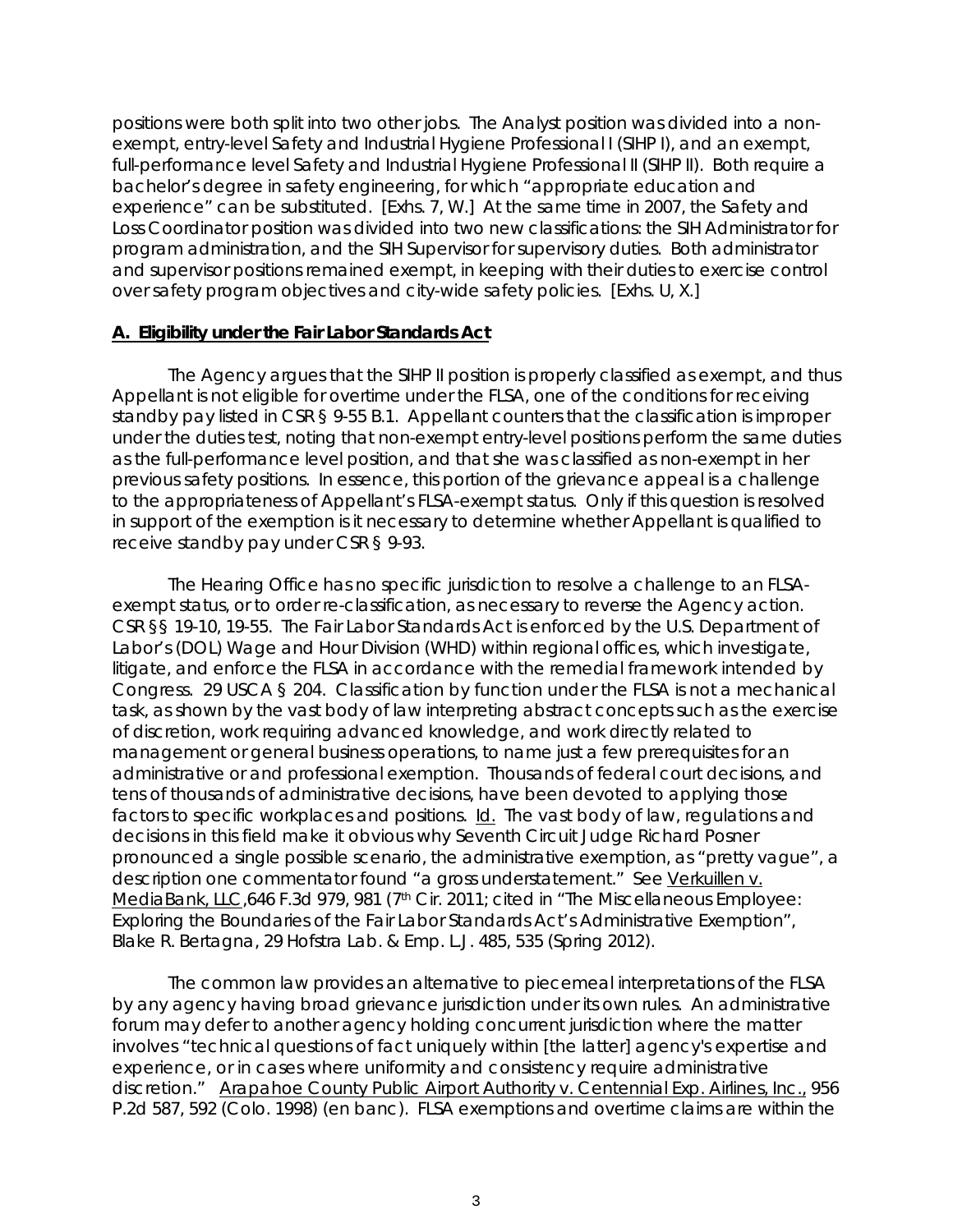positions were both split into two other jobs. The Analyst position was divided into a nonexempt, entry-level Safety and Industrial Hygiene Professional I (SIHP I), and an exempt, full-performance level Safety and Industrial Hygiene Professional II (SIHP II). Both require a bachelor's degree in safety engineering, for which "appropriate education and experience" can be substituted. [Exhs. 7, W.] At the same time in 2007, the Safety and Loss Coordinator position was divided into two new classifications: the SIH Administrator for program administration, and the SIH Supervisor for supervisory duties. Both administrator and supervisor positions remained exempt, in keeping with their duties to exercise control over safety program objectives and city-wide safety policies. [Exhs. U, X.]

### **A. Eligibility under the Fair Labor Standards Act**

The Agency argues that the SIHP II position is properly classified as exempt, and thus Appellant is not eligible for overtime under the FLSA, one of the conditions for receiving standby pay listed in CSR § 9-55 B.1. Appellant counters that the classification is improper under the duties test, noting that non-exempt entry-level positions perform the same duties as the full-performance level position, and that she was classified as non-exempt in her previous safety positions. In essence, this portion of the grievance appeal is a challenge to the appropriateness of Appellant's FLSA-exempt status. Only if this question is resolved in support of the exemption is it necessary to determine whether Appellant is qualified to receive standby pay under CSR § 9-93.

The Hearing Office has no specific jurisdiction to resolve a challenge to an FLSAexempt status, or to order re-classification, as necessary to reverse the Agency action. CSR §§ 19-10, 19-55. The Fair Labor Standards Act is enforced by the U.S. Department of Labor's (DOL) Wage and Hour Division (WHD) within regional offices, which investigate, litigate, and enforce the FLSA in accordance with the remedial framework intended by Congress. 29 USCA § 204. Classification by function under the FLSA is not a mechanical task, as shown by the vast body of law interpreting abstract concepts such as the exercise of discretion, work requiring advanced knowledge, and work directly related to management or general business operations, to name just a few prerequisites for an administrative or and professional exemption. Thousands of federal court decisions, and tens of thousands of administrative decisions, have been devoted to applying those factors to specific workplaces and positions. Id. The vast body of law, regulations and decisions in this field make it obvious why Seventh Circuit Judge Richard Posner pronounced a single possible scenario, the administrative exemption, as "pretty vague", a description one commentator found "a gross understatement." See Verkuillen v. MediaBank, LLC,646 F.3d 979, 981 (7<sup>th</sup> Cir. 2011; *cited in* "The Miscellaneous Employee: Exploring the Boundaries of the Fair Labor Standards Act's Administrative Exemption", Blake R. Bertagna, 29 Hofstra Lab. & Emp. L.J. 485, 535 (Spring 2012).

The common law provides an alternative to piecemeal interpretations of the FLSA by any agency having broad grievance jurisdiction under its own rules. An administrative forum may defer to another agency holding concurrent jurisdiction where the matter involves "technical questions of fact uniquely within [the latter] agency's expertise and experience, or in cases where uniformity and consistency require administrative discretion." Arapahoe County Public Airport Authority v. Centennial Exp. Airlines, Inc., 956 P.2d 587, 592 (Colo. 1998) (*en banc*). FLSA exemptions and overtime claims are within the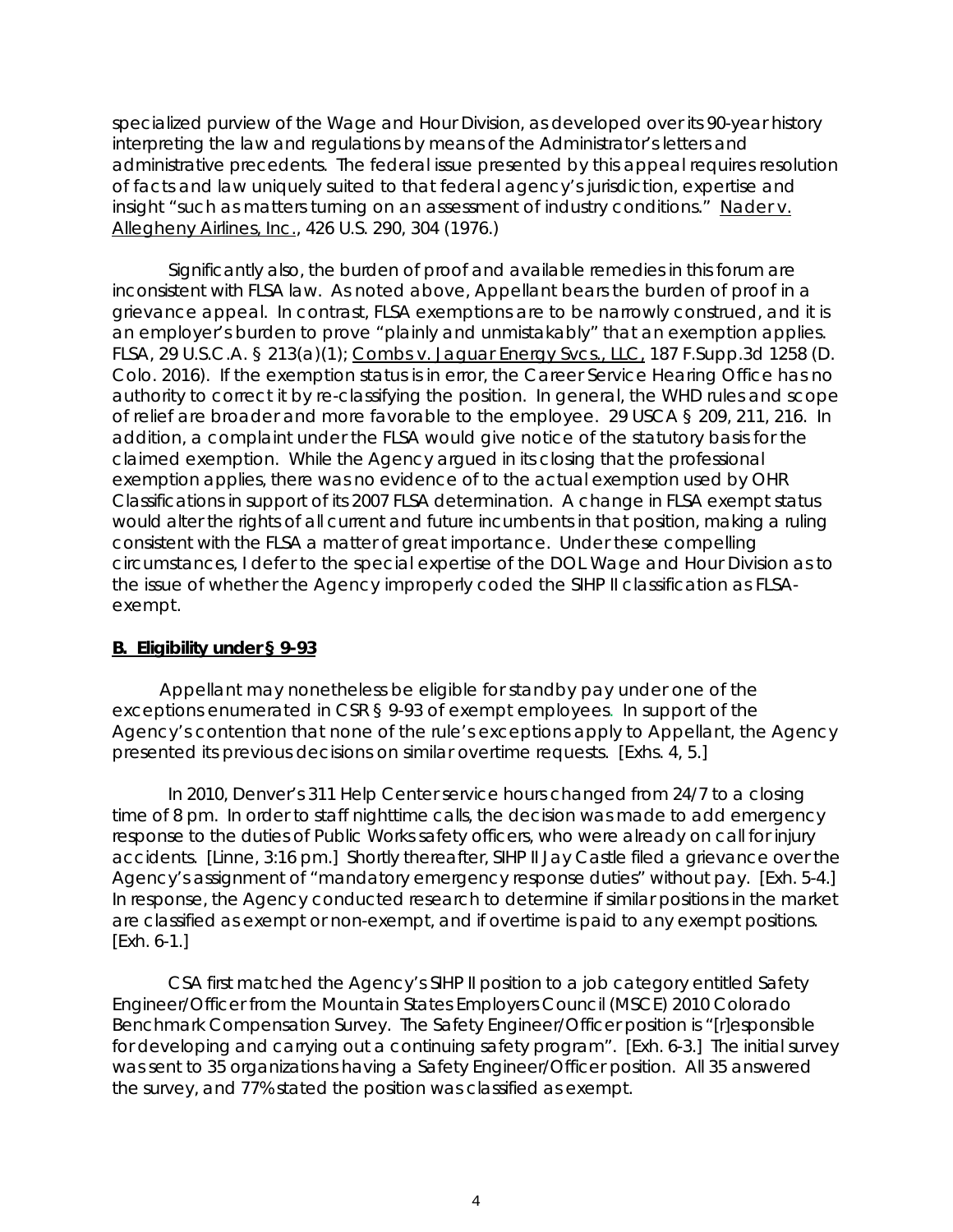specialized purview of the Wage and Hour Division, as developed over its 90-year history interpreting the law and regulations by means of the Administrator's letters and administrative precedents. The federal issue presented by this appeal requires resolution of facts and law uniquely suited to that federal agency's jurisdiction, expertise and insight "such as matters turning on an assessment of industry conditions." [Nader v.](https://1.next.westlaw.com/Link/Document/FullText?findType=Y&serNum=1976142387&pubNum=708&originatingDoc=I2ae975d6f56711d9b386b232635db992&refType=RP&fi=co_pp_sp_708_1986&originationContext=document&transitionType=DocumentItem&contextData=(sc.Search)#co_pp_sp_708_1986)  Allegheny Airlines, Inc., [426 U.S. 290, 304 \(1976.\)](https://1.next.westlaw.com/Link/Document/FullText?findType=Y&serNum=1976142387&pubNum=708&originatingDoc=I2ae975d6f56711d9b386b232635db992&refType=RP&fi=co_pp_sp_708_1986&originationContext=document&transitionType=DocumentItem&contextData=(sc.Search)#co_pp_sp_708_1986) 

Significantly also, the burden of proof and available remedies in this forum are inconsistent with FLSA law. As noted above, Appellant bears the burden of proof in a grievance appeal. In contrast, FLSA exemptions are to be narrowly construed, and it is an employer's burden to prove "plainly and unmistakably" that an exemption applies. FLSA, [29 U.S.C.A. § 213\(a\)\(1\);](https://1.next.westlaw.com/Link/Document/FullText?findType=L&pubNum=1000546&cite=29USCAS213&originatingDoc=I4142b350b21011e6bdb7b23a3c66d5b3&refType=SP&originationContext=document&transitionType=DocumentItem&contextData=(sc.CustomDigest)#co_pp_7b9b000044381) Combs v. Jaguar Energy Svcs., LLC, 187 F.Supp.3d 1258 (D. Colo. 2016). If the exemption status is in error, the Career Service Hearing Office has no authority to correct it by re-classifying the position. In general, the WHD rules and scope of relief are broader and more favorable to the employee. 29 USCA § 209, 211, 216. In addition, a complaint under the FLSA would give notice of the statutory basis for the claimed exemption. While the Agency argued in its closing that the professional exemption applies, there was no evidence of to the actual exemption used by OHR Classifications in support of its 2007 FLSA determination. A change in FLSA exempt status would alter the rights of all current and future incumbents in that position, making a ruling consistent with the FLSA a matter of great importance. Under these compelling circumstances, I defer to the special expertise of the DOL Wage and Hour Division as to the issue of whether the Agency improperly coded the SIHP II classification as FLSAexempt.

## **B. Eligibility under § 9-93**

 Appellant may nonetheless be eligible for standby pay under one of the exceptions enumerated in CSR § 9-93 of exempt employees. In support of the Agency's contention that none of the rule's exceptions apply to Appellant, the Agency presented its previous decisions on similar overtime requests. [Exhs. 4, 5.]

In 2010, Denver's 311 Help Center service hours changed from 24/7 to a closing time of 8 pm. In order to staff nighttime calls, the decision was made to add emergency response to the duties of Public Works safety officers, who were already on call for injury accidents. [Linne, 3:16 pm.] Shortly thereafter, SIHP II Jay Castle filed a grievance over the Agency's assignment of "mandatory emergency response duties" without pay. [Exh. 5-4.] In response, the Agency conducted research to determine if similar positions in the market are classified as exempt or non-exempt, and if overtime is paid to any exempt positions. [Exh. 6-1.]

CSA first matched the Agency's SIHP II position to a job category entitled Safety Engineer/Officer from the Mountain States Employers Council (MSCE) 2010 Colorado Benchmark Compensation Survey. The Safety Engineer/Officer position is "[r]esponsible for developing and carrying out a continuing safety program". [Exh. 6-3.] The initial survey was sent to 35 organizations having a Safety Engineer/Officer position. All 35 answered the survey, and 77% stated the position was classified as exempt.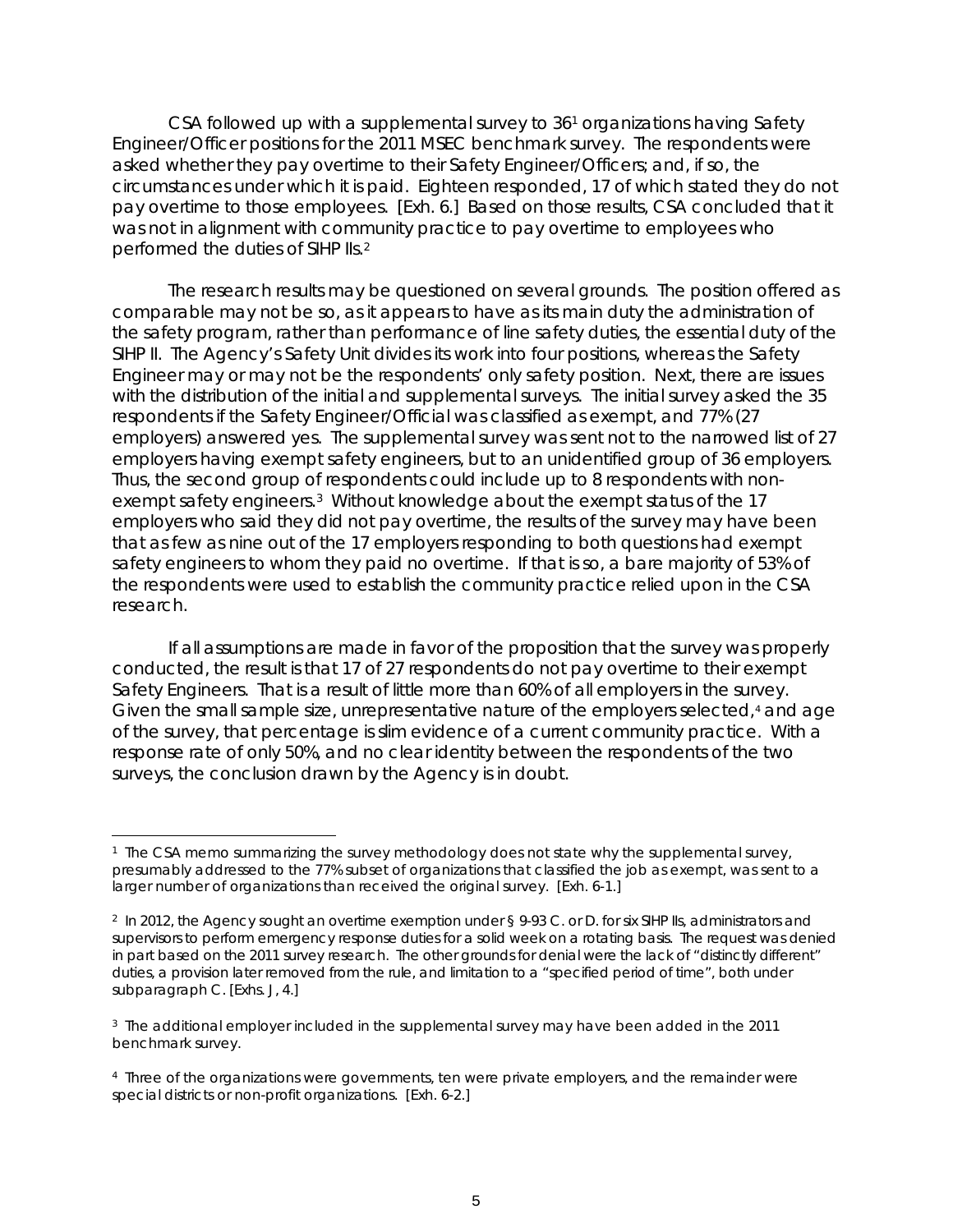CSA followed up with a supplemental survey to 3[61](#page-4-0) organizations having Safety Engineer/Officer positions for the 2011 MSEC benchmark survey. The respondents were asked whether they pay overtime to their Safety Engineer/Officers; and, if so, the circumstances under which it is paid. Eighteen responded, 17 of which stated they do not pay overtime to those employees. [Exh. 6.] Based on those results, CSA concluded that it was not in alignment with community practice to pay overtime to employees who performed the duties of SIHP IIs.[2](#page-4-1)

The research results may be questioned on several grounds. The position offered as comparable may not be so, as it appears to have as its main duty the administration of the safety program, rather than performance of line safety duties, the essential duty of the SIHP II. The Agency's Safety Unit divides its work into four positions, whereas the Safety Engineer may or may not be the respondents' only safety position. Next, there are issues with the distribution of the initial and supplemental surveys. The initial survey asked the 35 respondents if the Safety Engineer/Official was classified as exempt, and 77% (27 employers) answered yes. The supplemental survey was sent not to the narrowed list of 27 employers having exempt safety engineers, but to an unidentified group of 36 employers. Thus, the second group of respondents could include up to 8 respondents with nonexempt safety engineers[.3](#page-4-2) Without knowledge about the exempt status of the 17 employers who said they did not pay overtime, the results of the survey may have been that as few as nine out of the 17 employers responding to both questions had exempt safety engineers to whom they paid no overtime. If that is so, a bare majority of 53% of the respondents were used to establish the community practice relied upon in the CSA research.

If all assumptions are made in favor of the proposition that the survey was properly conducted, the result is that 17 of 27 respondents do not pay overtime to their exempt Safety Engineers. That is a result of little more than 60% of all employers in the survey. Given the small sample size, unrepresentative nature of the employers selected,<sup>[4](#page-4-3)</sup> and age of the survey, that percentage is slim evidence of a current community practice. With a response rate of only 50%, and no clear identity between the respondents of the two surveys, the conclusion drawn by the Agency is in doubt.

<span id="page-4-0"></span><sup>÷,</sup> <sup>1</sup> The CSA memo summarizing the survey methodology does not state why the supplemental survey, presumably addressed to the 77% subset of organizations that classified the job as exempt, was sent to a larger number of organizations than received the original survey. [Exh. 6-1.]

<span id="page-4-1"></span><sup>2</sup> In 2012, the Agency sought an overtime exemption under § 9-93 C. or D. for six SIHP IIs, administrators and supervisors to perform emergency response duties for a solid week on a rotating basis. The request was denied in part based on the 2011 survey research. The other grounds for denial were the lack of "distinctly different" duties, a provision later removed from the rule, and limitation to a "specified period of time", both under subparagraph C. [Exhs. J, 4.]

<span id="page-4-2"></span><sup>&</sup>lt;sup>3</sup> The additional employer included in the supplemental survey may have been added in the 2011 benchmark survey.

<span id="page-4-3"></span><sup>4</sup> Three of the organizations were governments, ten were private employers, and the remainder were special districts or non-profit organizations. [Exh. 6-2.]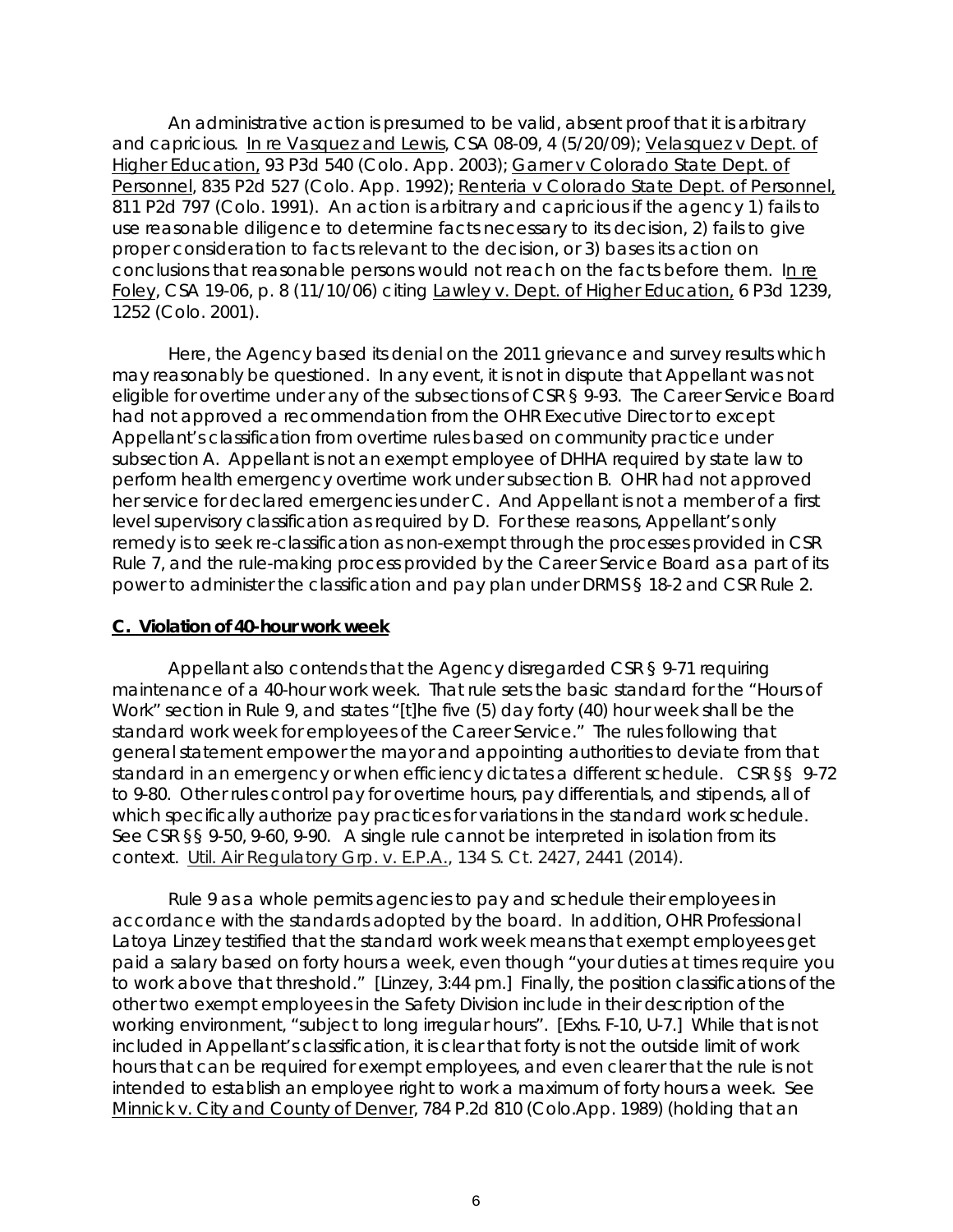An administrative action is presumed to be valid, absent proof that it is arbitrary and capricious. [In re Vasquez and Lewis,](https://www.denvergov.org/content/dam/denvergov/Portals/hearings_office/documents/Hearings/Vasquez_Patrica_and_Lewis_Colin_08-09_09-09_Decision.pdf) CSA 08-09, 4 (5/20/09); Velasquez v Dept. of Higher Education, 93 P3d 540 (Colo. App. 2003); Garner v Colorado State Dept. of Personnel, 835 P2d 527 (Colo. App. 1992); Renteria v Colorado State Dept. of Personnel. 811 P2d 797 (Colo. 1991). An action is arbitrary and capricious if the agency 1) fails to use reasonable diligence to determine facts necessary to its decision, 2) fails to give proper consideration to facts relevant to the decision, or 3) bases its action on conclusions that reasonable persons would not reach on the facts before them. [In](https://www.denvergov.org/content/dam/denvergov/Portals/hearings_office/documents/Hearings/Foley_Susan_19-07_Decision.pdf) re Foley, CSA 19-06, p. 8 (11/10/06) citing Lawley v. Dept. of Higher Education, 6 P3d 1239, 1252 (Colo. 2001).

Here, the Agency based its denial on the 2011 grievance and survey results which may reasonably be questioned. In any event, it is not in dispute that Appellant was not eligible for overtime under any of the subsections of CSR § 9-93. The Career Service Board had not approved a recommendation from the OHR Executive Director to except Appellant's classification from overtime rules based on community practice under subsection A. Appellant is not an exempt employee of DHHA required by state law to perform health emergency overtime work under subsection B. OHR had not approved her service for declared emergencies under C. And Appellant is not a member of a first level supervisory classification as required by D. For these reasons, Appellant's only remedy is to seek re-classification as non-exempt through the processes provided in CSR Rule 7, and the rule-making process provided by the Career Service Board as a part of its power to administer the classification and pay plan under DRMS § 18-2 and CSR Rule 2.

#### **C. Violation of 40-hour work week**

Appellant also contends that the Agency disregarded CSR § 9-71 requiring maintenance of a 40-hour work week. That rule sets the basic standard for the "Hours of Work" section in Rule 9, and states "[t]he five (5) day forty (40) hour week shall be the standard work week for employees of the Career Service." The rules following that general statement empower the mayor and appointing authorities to deviate from that standard in an emergency or when efficiency dictates a different schedule. CSR §§ 9-72 to 9-80. Other rules control pay for overtime hours, pay differentials, and stipends, all of which specifically authorize pay practices for variations in the standard work schedule. See CSR §§ 9-50, 9-60, 9-90. A single rule cannot be interpreted in isolation from its context. Util. Air Regulatory Grp. v. E.P.A., 134 S. Ct. 2427, 2441 (2014).

Rule 9 as a whole permits agencies to pay and schedule their employees in accordance with the standards adopted by the board. In addition, OHR Professional Latoya Linzey testified that the standard work week means that exempt employees get paid a salary based on forty hours a week, even though "your duties at times require you to work above that threshold." [Linzey, 3:44 pm.] Finally, the position classifications of the other two exempt employees in the Safety Division include in their description of the working environment, "subject to long irregular hours". [Exhs. F-10, U-7.] While that is not included in Appellant's classification, it is clear that forty is not the outside limit of work hours that can be required for exempt employees, and even clearer that the rule is not intended to establish an employee right to work a maximum of forty hours a week. See Minnick v. City and County of Denver, 784 P.2d 810 (Colo.App. 1989) (holding that an